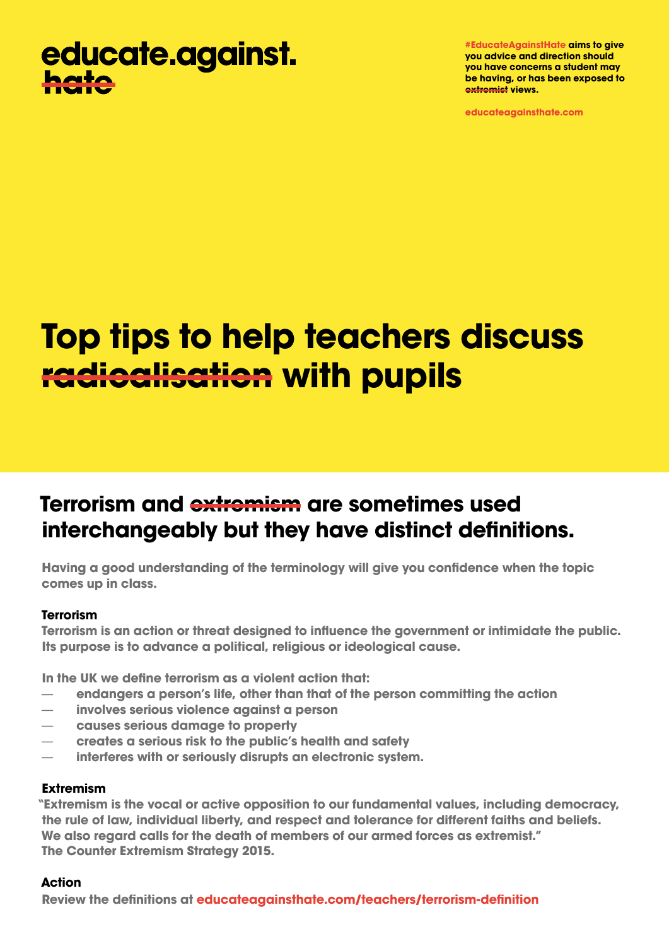## educate.against. hata

**#EducateAgainstHate aims to give you advice and direction should you have concerns a student may be having, or has been exposed to extremist views.**

**educateagainsthate.com**

# **Top tips to help teachers discuss radicalisation with pupils**

### **Terrorism and extremism are sometimes used interchangeably but they have distinct definitions.**

**Having a good understanding of the terminology will give you confidence when the topic comes up in class.**

#### **Terrorism**

**Terrorism is an action or threat designed to influence the government or intimidate the public. Its purpose is to advance a political, religious or ideological cause.**

**In the UK we define terrorism as a violent action that:**

- **endangers a person's life, other than that of the person committing the action**
- **involves serious violence against a person**
- **causes serious damage to property**
- **creates a serious risk to the public's health and safety**
- **interferes with or seriously disrupts an electronic system.**

#### **Extremism**

**"Extremism is the vocal or active opposition to our fundamental values, including democracy, the rule of law, individual liberty, and respect and tolerance for different faiths and beliefs. We also regard calls for the death of members of our armed forces as extremist." The Counter Extremism Strategy 2015.**

#### **Action**

**Review the definitions at [educateagainsthate.com/teachers/terrorism-definition](http://educateagainsthate.com)**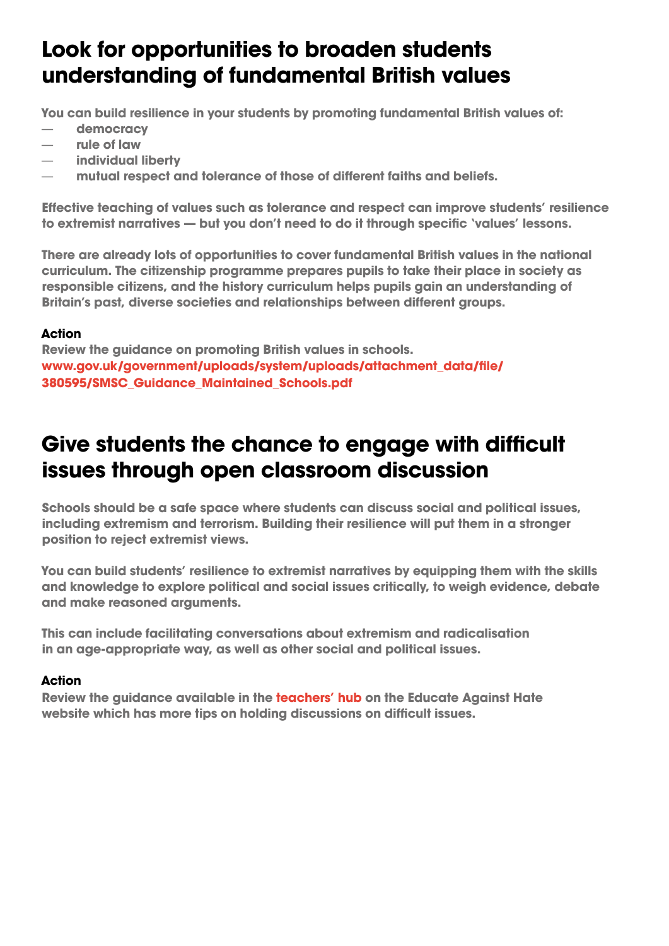### **Look for opportunities to broaden students understanding of fundamental British values**

**You can build resilience in your students by promoting fundamental British values of:**

- **democracy**
- **rule of law**
- **individual liberty**
- **mutual respect and tolerance of those of different faiths and beliefs.**

**Effective teaching of values such as tolerance and respect can improve students' resilience to extremist narratives — but you don't need to do it through specific 'values' lessons.**

**There are already lots of opportunities to cover fundamental British values in the national curriculum. The citizenship programme prepares pupils to take their place in society as responsible citizens, and the history curriculum helps pupils gain an understanding of Britain's past, diverse societies and relationships between different groups.**

### **Action**

**Review the guidance on promoting British values in schools. [www.gov.uk/government/uploads/system/uploads/attachment\\_data/file/](https://www.gov.uk/government/uploads/system/uploads/attachment_data/file/380595/SMSC_Guidance_Maintained_Schools.pdf) [380595/SMSC\\_Guidance\\_Maintained\\_Schools.pdf](https://www.gov.uk/government/uploads/system/uploads/attachment_data/file/380595/SMSC_Guidance_Maintained_Schools.pdf)**

### **Give students the chance to engage with difficult issues through open classroom discussion**

**Schools should be a safe space where students can discuss social and political issues, including extremism and terrorism. Building their resilience will put them in a stronger position to reject extremist views.**

**You can build students' resilience to extremist narratives by equipping them with the skills and knowledge to explore political and social issues critically, to weigh evidence, debate and make reasoned arguments.**

**This can include facilitating conversations about extremism and radicalisation in an age-appropriate way, as well as other social and political issues.**

### **Action**

**Review the guidance available in the [teachers' hub](http://educateagainsthate.com/teachers/) on the Educate Against Hate website which has more tips on holding discussions on difficult issues.**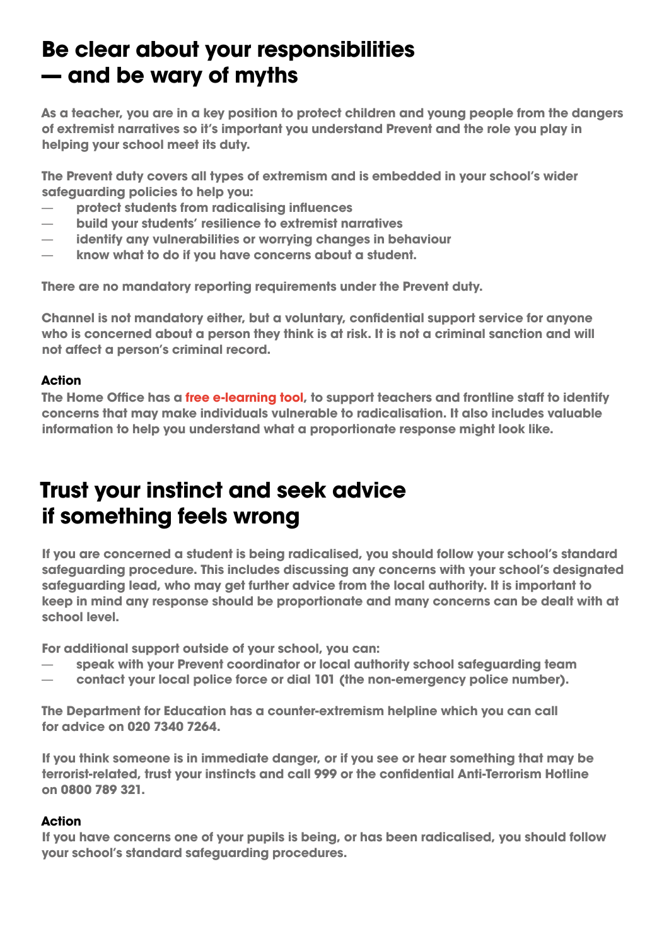### **Be clear about your responsibilities — and be wary of myths**

**As a teacher, you are in a key position to protect children and young people from the dangers of extremist narratives so it's important you understand Prevent and the role you play in helping your school meet its duty.**

**The Prevent duty covers all types of extremism and is embedded in your school's wider safeguarding policies to help you:**

- **protect students from radicalising influences**
- **build your students' resilience to extremist narratives**
- **identify any vulnerabilities or worrying changes in behaviour**
- **know what to do if you have concerns about a student.**

**There are no mandatory reporting requirements under the Prevent duty.** 

**Channel is not mandatory either, but a voluntary, confidential support service for anyone who is concerned about a person they think is at risk. It is not a criminal sanction and will not affect a person's criminal record.**

#### **Action**

**The Home Office has a [free e-learning tool](https://www.elearning.prevent.homeoffice.gov.uk/), to support teachers and frontline staff to identify concerns that may make individuals vulnerable to radicalisation. It also includes valuable information to help you understand what a proportionate response might look like.**

### **Trust your instinct and seek advice if something feels wrong**

**If you are concerned a student is being radicalised, you should follow your school's standard safeguarding procedure. This includes discussing any concerns with your school's designated safeguarding lead, who may get further advice from the local authority. It is important to keep in mind any response should be proportionate and many concerns can be dealt with at school level.** 

**For additional support outside of your school, you can:**

- **speak with your Prevent coordinator or local authority school safeguarding team**
- **contact your local police force or dial 101 (the non-emergency police number).**

**The Department for Education has a counter-extremism helpline which you can call for advice on 020 7340 7264.**

**If you think someone is in immediate danger, or if you see or hear something that may be terrorist-related, trust your instincts and call 999 or the confidential Anti-Terrorism Hotline on 0800 789 321.**

#### **Action**

**If you have concerns one of your pupils is being, or has been radicalised, you should follow your school's standard safeguarding procedures.**